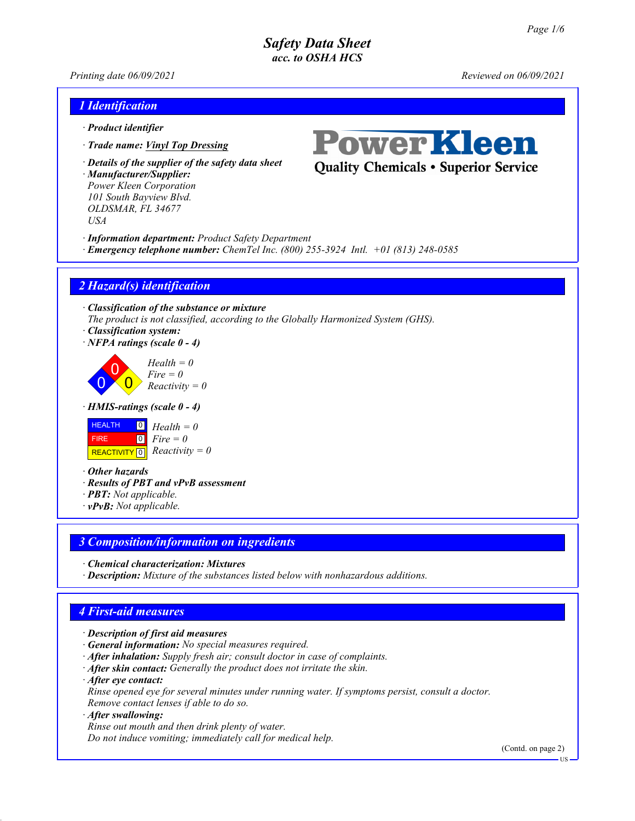*Printing date 06/09/2021 Reviewed on 06/09/2021*

# *1 Identification*

- *· Product identifier*
- *· Trade name: Vinyl Top Dressing*
- *· Details of the supplier of the safety data sheet*

*· Manufacturer/Supplier: Power Kleen Corporation 101 South Bayview Blvd. OLDSMAR, FL 34677 USA*



**Quality Chemicals • Superior Service** 

- *· Information department: Product Safety Department*
- *· Emergency telephone number: ChemTel Inc. (800) 255-3924 Intl. +01 (813) 248-0585*

## *2 Hazard(s) identification*

*· Classification of the substance or mixture The product is not classified, according to the Globally Harmonized System (GHS).*

- *· Classification system:*
- *· NFPA ratings (scale 0 4)*

 $\overline{0}$  $\overline{0}$  $\overline{0}$ *Health = 0 Fire = 0 Reactivity = 0*

*· HMIS-ratings (scale 0 - 4)*



*· Other hazards*

- *· Results of PBT and vPvB assessment*
- *· PBT: Not applicable.*
- *· vPvB: Not applicable.*

# *3 Composition/information on ingredients*

- *· Chemical characterization: Mixtures*
- *· Description: Mixture of the substances listed below with nonhazardous additions.*

# *4 First-aid measures*

- *· Description of first aid measures*
- *· General information: No special measures required.*
- *· After inhalation: Supply fresh air; consult doctor in case of complaints.*
- *· After skin contact: Generally the product does not irritate the skin.*
- *· After eye contact:*
- *Rinse opened eye for several minutes under running water. If symptoms persist, consult a doctor. Remove contact lenses if able to do so.*

#### *· After swallowing:*

*Rinse out mouth and then drink plenty of water. Do not induce vomiting; immediately call for medical help.*

(Contd. on page 2)

US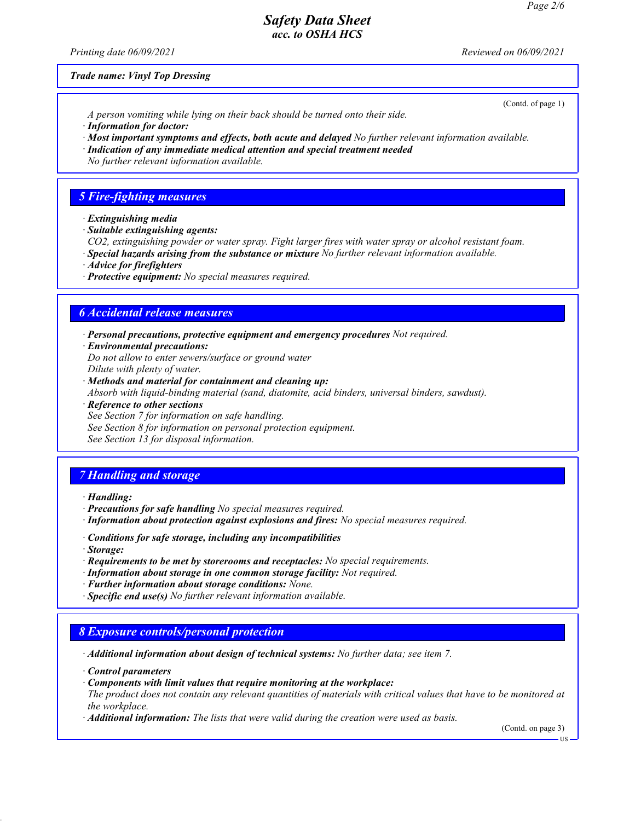*Printing date 06/09/2021 Reviewed on 06/09/2021*

#### *Trade name: Vinyl Top Dressing*

*A person vomiting while lying on their back should be turned onto their side.*

- *· Information for doctor:*
- *· Most important symptoms and effects, both acute and delayed No further relevant information available.*
- *· Indication of any immediate medical attention and special treatment needed*
- *No further relevant information available.*

## *5 Fire-fighting measures*

- *· Extinguishing media*
- *· Suitable extinguishing agents:*

*CO2, extinguishing powder or water spray. Fight larger fires with water spray or alcohol resistant foam.*

- *· Special hazards arising from the substance or mixture No further relevant information available.*
- *· Advice for firefighters*
- *· Protective equipment: No special measures required.*

### *6 Accidental release measures*

*· Personal precautions, protective equipment and emergency procedures Not required.*

*· Environmental precautions:*

*Do not allow to enter sewers/surface or ground water Dilute with plenty of water.*

- *· Methods and material for containment and cleaning up: Absorb with liquid-binding material (sand, diatomite, acid binders, universal binders, sawdust).*
- *· Reference to other sections*
- *See Section 7 for information on safe handling.*
- *See Section 8 for information on personal protection equipment.*
- *See Section 13 for disposal information.*

# *7 Handling and storage*

*· Handling:*

- *· Precautions for safe handling No special measures required.*
- *· Information about protection against explosions and fires: No special measures required.*
- *· Conditions for safe storage, including any incompatibilities*
- *· Storage:*
- *· Requirements to be met by storerooms and receptacles: No special requirements.*
- *· Information about storage in one common storage facility: Not required.*
- *· Further information about storage conditions: None.*
- *· Specific end use(s) No further relevant information available.*

#### *8 Exposure controls/personal protection*

*· Additional information about design of technical systems: No further data; see item 7.*

*· Control parameters*

*· Components with limit values that require monitoring at the workplace:*

*The product does not contain any relevant quantities of materials with critical values that have to be monitored at the workplace.*

*· Additional information: The lists that were valid during the creation were used as basis.*

(Contd. on page 3)

(Contd. of page 1)

US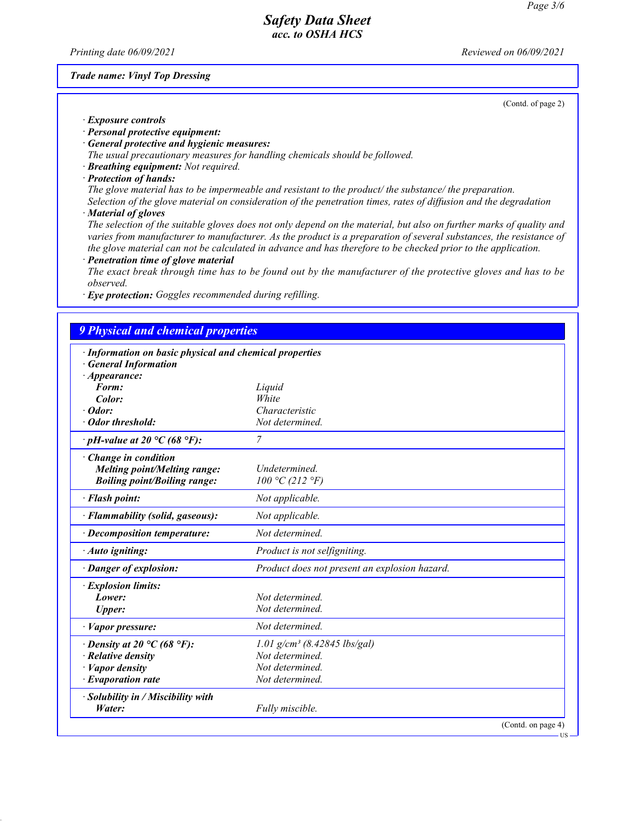*Printing date 06/09/2021 Reviewed on 06/09/2021*

#### *Trade name: Vinyl Top Dressing*

(Contd. of page 2)

*· Exposure controls*

- *· Personal protective equipment:*
- *· General protective and hygienic measures:*
- *The usual precautionary measures for handling chemicals should be followed.*
- *· Breathing equipment: Not required.*
- *· Protection of hands:*

*The glove material has to be impermeable and resistant to the product/ the substance/ the preparation.*

*Selection of the glove material on consideration of the penetration times, rates of diffusion and the degradation · Material of gloves*

*The selection of the suitable gloves does not only depend on the material, but also on further marks of quality and varies from manufacturer to manufacturer. As the product is a preparation of several substances, the resistance of the glove material can not be calculated in advance and has therefore to be checked prior to the application.*

- *· Penetration time of glove material*
- *The exact break through time has to be found out by the manufacturer of the protective gloves and has to be observed.*
- *· Eye protection: Goggles recommended during refilling.*

# *9 Physical and chemical properties*

| <b>General Information</b><br>$\cdot$ Appearance: |                                               |
|---------------------------------------------------|-----------------------------------------------|
| Form:                                             | Liquid                                        |
| Color:                                            | White                                         |
| $\cdot$ Odor:                                     | Characteristic                                |
| · Odor threshold:                                 | Not determined.                               |
| $\cdot$ pH-value at 20 °C (68 °F):                | 7                                             |
| Change in condition                               |                                               |
| <b>Melting point/Melting range:</b>               | Undetermined.                                 |
| <b>Boiling point/Boiling range:</b>               | 100 °C (212 °F)                               |
| · Flash point:                                    | Not applicable.                               |
| · Flammability (solid, gaseous):                  | Not applicable.                               |
| $\cdot$ Decomposition temperature:                | Not determined.                               |
| · Auto igniting:                                  | Product is not selfigniting.                  |
| · Danger of explosion:                            | Product does not present an explosion hazard. |
| <b>Explosion limits:</b>                          |                                               |
| Lower:                                            | Not determined                                |
| <b>Upper:</b>                                     | Not determined.                               |
| · Vapor pressure:                                 | Not determined.                               |
| $\cdot$ Density at 20 °C (68 °F):                 | $1.01$ g/cm <sup>3</sup> (8.42845 lbs/gal)    |
| $\cdot$ Relative density                          | Not determined.                               |
| $\cdot$ <i>Vapor density</i>                      | Not determined.                               |
| $\cdot$ Evaporation rate                          | Not determined.                               |
| · Solubility in / Miscibility with                |                                               |
| Water:                                            | Fully miscible.                               |

US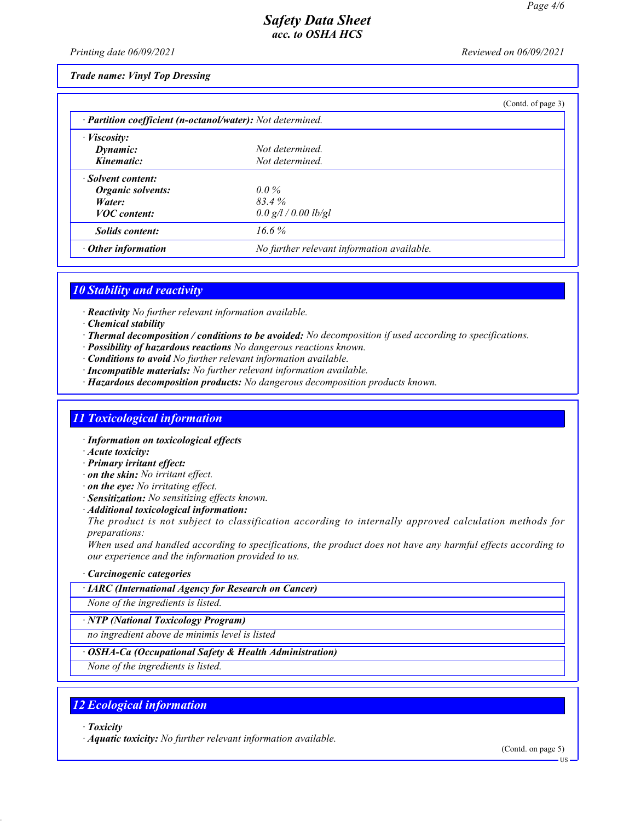*Printing date 06/09/2021 Reviewed on 06/09/2021*

#### *Trade name: Vinyl Top Dressing*

|                                                            |                                            | (Contd. of page 3) |
|------------------------------------------------------------|--------------------------------------------|--------------------|
| · Partition coefficient (n-octanol/water): Not determined. |                                            |                    |
| $\cdot$ <i>Viscosity:</i>                                  |                                            |                    |
| Dynamic:                                                   | Not determined.                            |                    |
| Kinematic:                                                 | Not determined.                            |                    |
| · Solvent content:                                         |                                            |                    |
| Organic solvents:                                          | $0.0\%$                                    |                    |
| Water:                                                     | 83.4%                                      |                    |
| <b>VOC</b> content:                                        | $0.0$ g/l / 0.00 lb/gl                     |                    |
| <b>Solids content:</b>                                     | $16.6\%$                                   |                    |
| $\cdot$ Other information                                  | No further relevant information available. |                    |

### *10 Stability and reactivity*

*· Reactivity No further relevant information available.*

- *· Chemical stability*
- *· Thermal decomposition / conditions to be avoided: No decomposition if used according to specifications.*
- *· Possibility of hazardous reactions No dangerous reactions known.*
- *· Conditions to avoid No further relevant information available.*
- *· Incompatible materials: No further relevant information available.*
- *· Hazardous decomposition products: No dangerous decomposition products known.*

#### *11 Toxicological information*

- *· Information on toxicological effects*
- *· Acute toxicity:*
- *· Primary irritant effect:*
- *· on the skin: No irritant effect.*
- *· on the eye: No irritating effect.*
- *· Sensitization: No sensitizing effects known.*
- *· Additional toxicological information:*

*The product is not subject to classification according to internally approved calculation methods for preparations:*

*When used and handled according to specifications, the product does not have any harmful effects according to our experience and the information provided to us.*

#### *· Carcinogenic categories*

#### *· IARC (International Agency for Research on Cancer)*

*None of the ingredients is listed.*

*· NTP (National Toxicology Program)*

*no ingredient above de minimis level is listed*

#### *· OSHA-Ca (Occupational Safety & Health Administration)*

*None of the ingredients is listed.*

### *12 Ecological information*

*· Toxicity*

*· Aquatic toxicity: No further relevant information available.*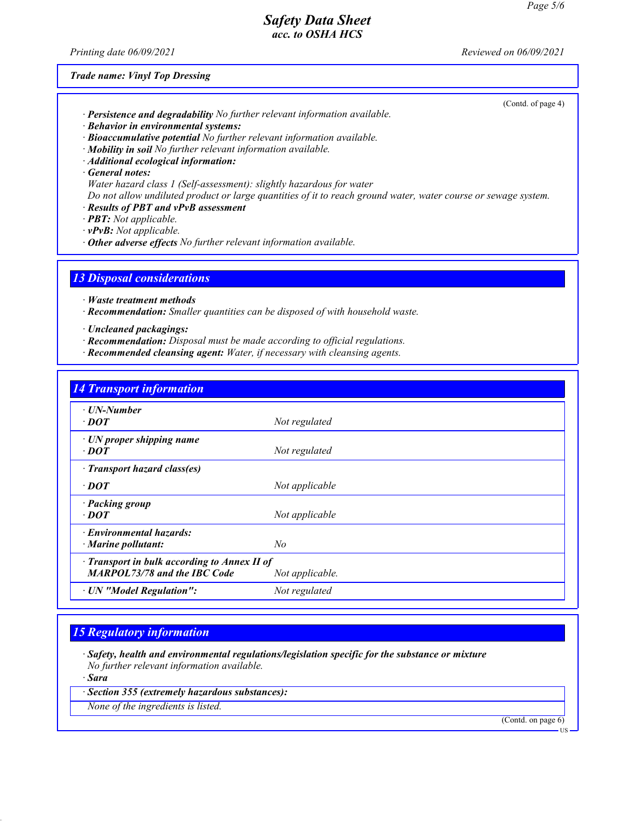*Printing date 06/09/2021 Reviewed on 06/09/2021*

(Contd. of page 4)

*Trade name: Vinyl Top Dressing*

| · Persistence and degradability No further relevant information available. |  |  |
|----------------------------------------------------------------------------|--|--|
|----------------------------------------------------------------------------|--|--|

- *· Behavior in environmental systems:*
- *· Bioaccumulative potential No further relevant information available.*
- *· Mobility in soil No further relevant information available.*
- *· Additional ecological information:*
- *· General notes:*
- *Water hazard class 1 (Self-assessment): slightly hazardous for water*

*Do not allow undiluted product or large quantities of it to reach ground water, water course or sewage system.*

- *· Results of PBT and vPvB assessment*
- *· PBT: Not applicable.*
- *· vPvB: Not applicable.*
- *· Other adverse effects No further relevant information available.*

*13 Disposal considerations*

*· Waste treatment methods*

*· Recommendation: Smaller quantities can be disposed of with household waste.*

*· Uncleaned packagings:*

- *· Recommendation: Disposal must be made according to official regulations.*
- *· Recommended cleansing agent: Water, if necessary with cleansing agents.*

| <b>14 Transport information</b> |  |  |
|---------------------------------|--|--|
|                                 |  |  |

| $\cdot$ UN-Number                                     |                 |
|-------------------------------------------------------|-----------------|
| $\cdot$ <i>DOT</i>                                    | Not regulated   |
|                                                       |                 |
| $\cdot$ UN proper shipping name<br>$\cdot$ <i>DOT</i> | Not regulated   |
| · Transport hazard class(es)                          |                 |
| $\cdot$ DOT                                           | Not applicable  |
| · Packing group                                       |                 |
| $\cdot$ DOT                                           | Not applicable  |
| · Environmental hazards:                              |                 |
| $\cdot$ Marine pollutant:                             | No              |
| $\cdot$ Transport in bulk according to Annex II of    |                 |
| <b>MARPOL73/78 and the IBC Code</b>                   | Not applicable. |
| · UN "Model Regulation":                              | Not regulated   |

### *15 Regulatory information*

*· Safety, health and environmental regulations/legislation specific for the substance or mixture No further relevant information available.*

*· Sara*

*· Section 355 (extremely hazardous substances):*

*None of the ingredients is listed.*

(Contd. on page 6)

US